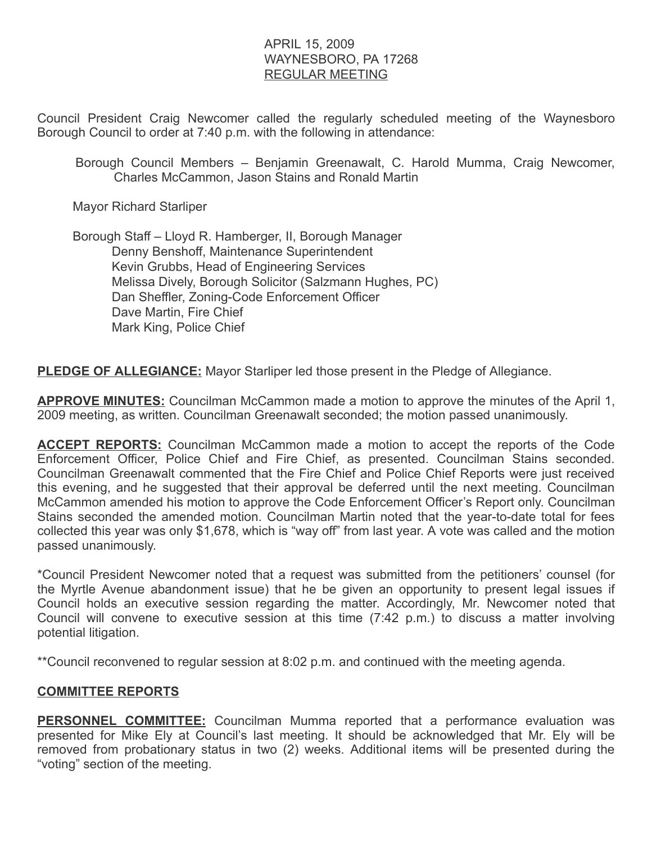### APRIL 15, 2009 WAYNESBORO, PA 17268 REGULAR MEETING

Council President Craig Newcomer called the regularly scheduled meeting of the Waynesboro Borough Council to order at 7:40 p.m. with the following in attendance:

Borough Council Members – Benjamin Greenawalt, C. Harold Mumma, Craig Newcomer, Charles McCammon, Jason Stains and Ronald Martin

Mayor Richard Starliper

 Borough Staff – Lloyd R. Hamberger, II, Borough Manager Denny Benshoff, Maintenance Superintendent Kevin Grubbs, Head of Engineering Services Melissa Dively, Borough Solicitor (Salzmann Hughes, PC) Dan Sheffler, Zoning-Code Enforcement Officer Dave Martin, Fire Chief Mark King, Police Chief

**PLEDGE OF ALLEGIANCE:** Mayor Starliper led those present in the Pledge of Allegiance.

APPROVE MINUTES: Councilman McCammon made a motion to approve the minutes of the April 1, 2009 meeting, as written. Councilman Greenawalt seconded; the motion passed unanimously.

**ACCEPT REPORTS:** Councilman McCammon made a motion to accept the reports of the Code Enforcement Officer, Police Chief and Fire Chief, as presented. Councilman Stains seconded. Councilman Greenawalt commented that the Fire Chief and Police Chief Reports were just received this evening, and he suggested that their approval be deferred until the next meeting. Councilman McCammon amended his motion to approve the Code Enforcement Officer's Report only. Councilman Stains seconded the amended motion. Councilman Martin noted that the year-to-date total for fees collected this year was only \$1,678, which is "way off" from last year. A vote was called and the motion passed unanimously.

\*Council President Newcomer noted that a request was submitted from the petitioners' counsel (for the Myrtle Avenue abandonment issue) that he be given an opportunity to present legal issues if Council holds an executive session regarding the matter. Accordingly, Mr. Newcomer noted that Council will convene to executive session at this time (7:42 p.m.) to discuss a matter involving potential litigation.

\*\*Council reconvened to regular session at 8:02 p.m. and continued with the meeting agenda.

#### COMMITTEE REPORTS

PERSONNEL COMMITTEE: Councilman Mumma reported that a performance evaluation was presented for Mike Ely at Council's last meeting. It should be acknowledged that Mr. Ely will be removed from probationary status in two (2) weeks. Additional items will be presented during the "voting" section of the meeting.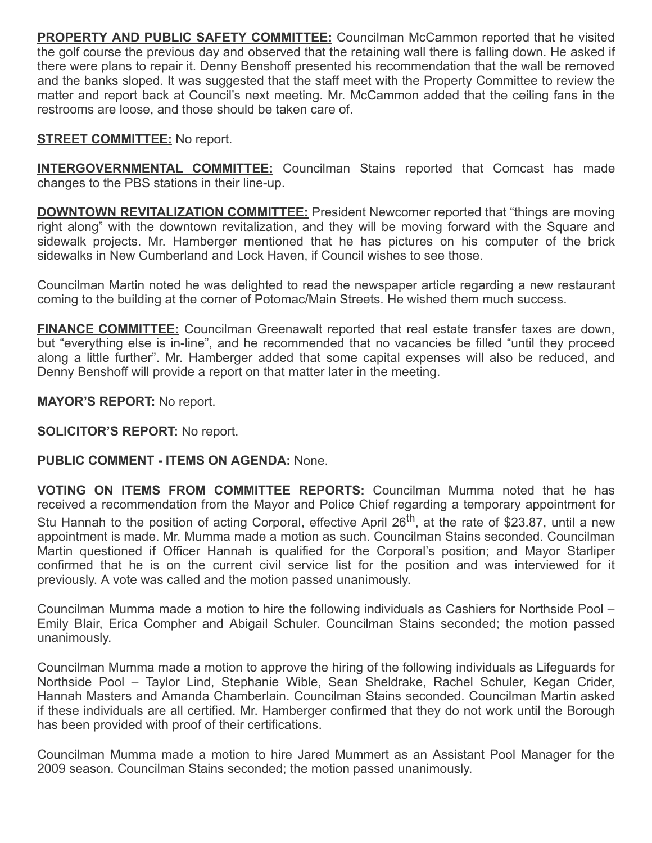**PROPERTY AND PUBLIC SAFETY COMMITTEE:** Councilman McCammon reported that he visited the golf course the previous day and observed that the retaining wall there is falling down. He asked if there were plans to repair it. Denny Benshoff presented his recommendation that the wall be removed and the banks sloped. It was suggested that the staff meet with the Property Committee to review the matter and report back at Council's next meeting. Mr. McCammon added that the ceiling fans in the restrooms are loose, and those should be taken care of.

# **STREET COMMITTEE:** No report.

**INTERGOVERNMENTAL COMMITTEE:** Councilman Stains reported that Comcast has made changes to the PBS stations in their line-up.

**DOWNTOWN REVITALIZATION COMMITTEE:** President Newcomer reported that "things are moving right along" with the downtown revitalization, and they will be moving forward with the Square and sidewalk projects. Mr. Hamberger mentioned that he has pictures on his computer of the brick sidewalks in New Cumberland and Lock Haven, if Council wishes to see those.

Councilman Martin noted he was delighted to read the newspaper article regarding a new restaurant coming to the building at the corner of Potomac/Main Streets. He wished them much success.

FINANCE COMMITTEE: Councilman Greenawalt reported that real estate transfer taxes are down, but "everything else is in-line", and he recommended that no vacancies be filled "until they proceed along a little further". Mr. Hamberger added that some capital expenses will also be reduced, and Denny Benshoff will provide a report on that matter later in the meeting.

### **MAYOR'S REPORT:** No report.

#### **SOLICITOR'S REPORT:** No report.

## PUBLIC COMMENT - ITEMS ON AGENDA: None.

VOTING ON ITEMS FROM COMMITTEE REPORTS: Councilman Mumma noted that he has received a recommendation from the Mayor and Police Chief regarding a temporary appointment for Stu Hannah to the position of acting Corporal, effective April 26<sup>th</sup>, at the rate of \$23.87, until a new appointment is made. Mr. Mumma made a motion as such. Councilman Stains seconded. Councilman Martin questioned if Officer Hannah is qualified for the Corporal's position; and Mayor Starliper confirmed that he is on the current civil service list for the position and was interviewed for it previously. A vote was called and the motion passed unanimously.

Councilman Mumma made a motion to hire the following individuals as Cashiers for Northside Pool – Emily Blair, Erica Compher and Abigail Schuler. Councilman Stains seconded; the motion passed unanimously.

Councilman Mumma made a motion to approve the hiring of the following individuals as Lifeguards for Northside Pool – Taylor Lind, Stephanie Wible, Sean Sheldrake, Rachel Schuler, Kegan Crider, Hannah Masters and Amanda Chamberlain. Councilman Stains seconded. Councilman Martin asked if these individuals are all certified. Mr. Hamberger confirmed that they do not work until the Borough has been provided with proof of their certifications.

Councilman Mumma made a motion to hire Jared Mummert as an Assistant Pool Manager for the 2009 season. Councilman Stains seconded; the motion passed unanimously.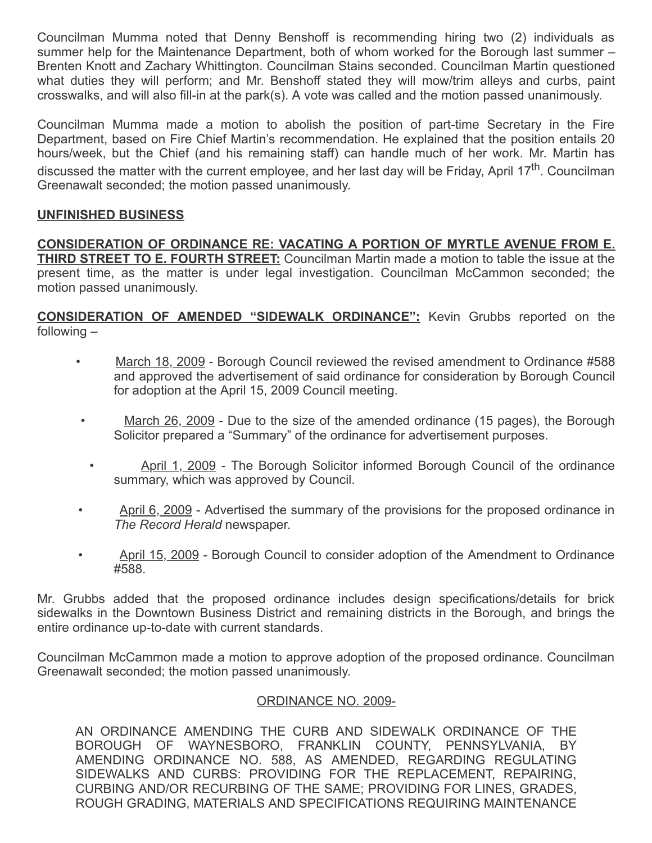Councilman Mumma noted that Denny Benshoff is recommending hiring two (2) individuals as summer help for the Maintenance Department, both of whom worked for the Borough last summer – Brenten Knott and Zachary Whittington. Councilman Stains seconded. Councilman Martin questioned what duties they will perform; and Mr. Benshoff stated they will mow/trim alleys and curbs, paint crosswalks, and will also fill-in at the park(s). A vote was called and the motion passed unanimously.

Councilman Mumma made a motion to abolish the position of part-time Secretary in the Fire Department, based on Fire Chief Martin's recommendation. He explained that the position entails 20 hours/week, but the Chief (and his remaining staff) can handle much of her work. Mr. Martin has discussed the matter with the current employee, and her last day will be Friday, April 17<sup>th</sup>. Councilman Greenawalt seconded; the motion passed unanimously.

### UNFINISHED BUSINESS

CONSIDERATION OF ORDINANCE RE: VACATING A PORTION OF MYRTLE AVENUE FROM E. **THIRD STREET TO E. FOURTH STREET:** Councilman Martin made a motion to table the issue at the present time, as the matter is under legal investigation. Councilman McCammon seconded; the motion passed unanimously.

CONSIDERATION OF AMENDED "SIDEWALK ORDINANCE": Kevin Grubbs reported on the following –

- March 18, 2009 Borough Council reviewed the revised amendment to Ordinance #588 and approved the advertisement of said ordinance for consideration by Borough Council for adoption at the April 15, 2009 Council meeting.
- March 26, 2009 Due to the size of the amended ordinance (15 pages), the Borough Solicitor prepared a "Summary" of the ordinance for advertisement purposes.
- April 1, 2009 The Borough Solicitor informed Borough Council of the ordinance summary, which was approved by Council.
- April 6, 2009 Advertised the summary of the provisions for the proposed ordinance in The Record Herald newspaper.
- April 15, 2009 Borough Council to consider adoption of the Amendment to Ordinance #588.

Mr. Grubbs added that the proposed ordinance includes design specifications/details for brick sidewalks in the Downtown Business District and remaining districts in the Borough, and brings the entire ordinance up-to-date with current standards.

Councilman McCammon made a motion to approve adoption of the proposed ordinance. Councilman Greenawalt seconded; the motion passed unanimously.

#### ORDINANCE NO. 2009-

AN ORDINANCE AMENDING THE CURB AND SIDEWALK ORDINANCE OF THE BOROUGH OF WAYNESBORO, FRANKLIN COUNTY, PENNSYLVANIA, BY AMENDING ORDINANCE NO. 588, AS AMENDED, REGARDING REGULATING SIDEWALKS AND CURBS: PROVIDING FOR THE REPLACEMENT, REPAIRING, CURBING AND/OR RECURBING OF THE SAME; PROVIDING FOR LINES, GRADES, ROUGH GRADING, MATERIALS AND SPECIFICATIONS REQUIRING MAINTENANCE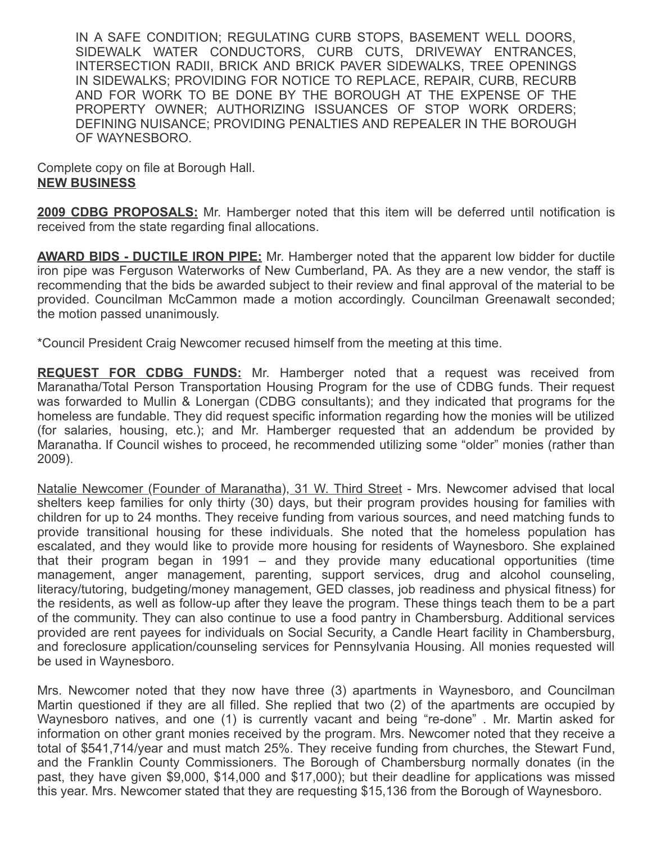IN A SAFE CONDITION; REGULATING CURB STOPS, BASEMENT WELL DOORS, SIDEWALK WATER CONDUCTORS, CURB CUTS, DRIVEWAY ENTRANCES, INTERSECTION RADII, BRICK AND BRICK PAVER SIDEWALKS, TREE OPENINGS IN SIDEWALKS; PROVIDING FOR NOTICE TO REPLACE, REPAIR, CURB, RECURB AND FOR WORK TO BE DONE BY THE BOROUGH AT THE EXPENSE OF THE PROPERTY OWNER; AUTHORIZING ISSUANCES OF STOP WORK ORDERS; DEFINING NUISANCE; PROVIDING PENALTIES AND REPEALER IN THE BOROUGH OF WAYNESBORO.

Complete copy on file at Borough Hall. NEW BUSINESS

**2009 CDBG PROPOSALS:** Mr. Hamberger noted that this item will be deferred until notification is received from the state regarding final allocations.

**AWARD BIDS - DUCTILE IRON PIPE:** Mr. Hamberger noted that the apparent low bidder for ductile iron pipe was Ferguson Waterworks of New Cumberland, PA. As they are a new vendor, the staff is recommending that the bids be awarded subject to their review and final approval of the material to be provided. Councilman McCammon made a motion accordingly. Councilman Greenawalt seconded; the motion passed unanimously.

\*Council President Craig Newcomer recused himself from the meeting at this time.

**REQUEST FOR CDBG FUNDS:** Mr. Hamberger noted that a request was received from Maranatha/Total Person Transportation Housing Program for the use of CDBG funds. Their request was forwarded to Mullin & Lonergan (CDBG consultants); and they indicated that programs for the homeless are fundable. They did request specific information regarding how the monies will be utilized (for salaries, housing, etc.); and Mr. Hamberger requested that an addendum be provided by Maranatha. If Council wishes to proceed, he recommended utilizing some "older" monies (rather than 2009).

Natalie Newcomer (Founder of Maranatha), 31 W. Third Street - Mrs. Newcomer advised that local shelters keep families for only thirty (30) days, but their program provides housing for families with children for up to 24 months. They receive funding from various sources, and need matching funds to provide transitional housing for these individuals. She noted that the homeless population has escalated, and they would like to provide more housing for residents of Waynesboro. She explained that their program began in 1991 – and they provide many educational opportunities (time management, anger management, parenting, support services, drug and alcohol counseling, literacy/tutoring, budgeting/money management, GED classes, job readiness and physical fitness) for the residents, as well as follow-up after they leave the program. These things teach them to be a part of the community. They can also continue to use a food pantry in Chambersburg. Additional services provided are rent payees for individuals on Social Security, a Candle Heart facility in Chambersburg, and foreclosure application/counseling services for Pennsylvania Housing. All monies requested will be used in Waynesboro.

Mrs. Newcomer noted that they now have three (3) apartments in Waynesboro, and Councilman Martin questioned if they are all filled. She replied that two (2) of the apartments are occupied by Waynesboro natives, and one (1) is currently vacant and being "re-done" . Mr. Martin asked for information on other grant monies received by the program. Mrs. Newcomer noted that they receive a total of \$541,714/year and must match 25%. They receive funding from churches, the Stewart Fund, and the Franklin County Commissioners. The Borough of Chambersburg normally donates (in the past, they have given \$9,000, \$14,000 and \$17,000); but their deadline for applications was missed this year. Mrs. Newcomer stated that they are requesting \$15,136 from the Borough of Waynesboro.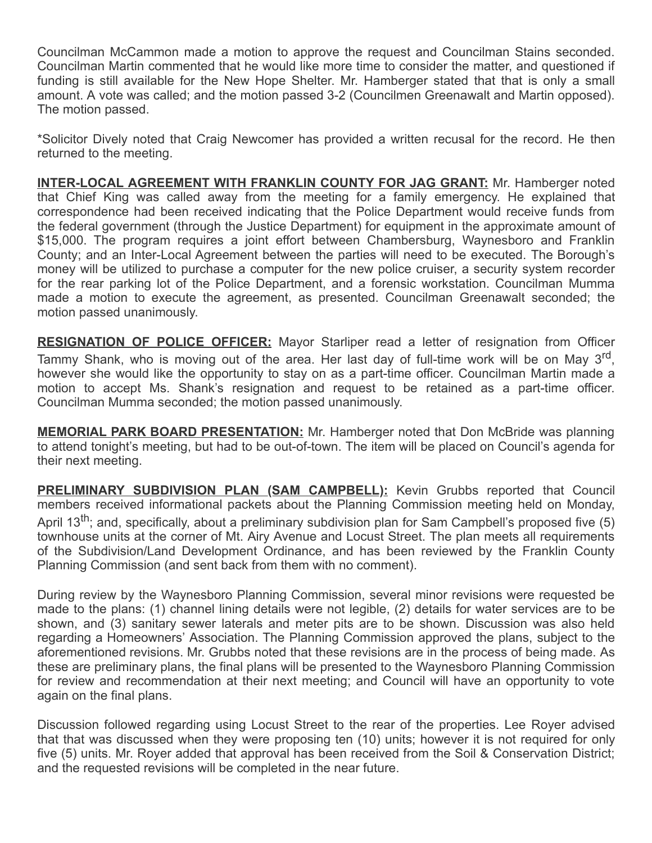Councilman McCammon made a motion to approve the request and Councilman Stains seconded. Councilman Martin commented that he would like more time to consider the matter, and questioned if funding is still available for the New Hope Shelter. Mr. Hamberger stated that that is only a small amount. A vote was called; and the motion passed 3-2 (Councilmen Greenawalt and Martin opposed). The motion passed.

\*Solicitor Dively noted that Craig Newcomer has provided a written recusal for the record. He then returned to the meeting.

INTER-LOCAL AGREEMENT WITH FRANKLIN COUNTY FOR JAG GRANT: Mr. Hamberger noted that Chief King was called away from the meeting for a family emergency. He explained that correspondence had been received indicating that the Police Department would receive funds from the federal government (through the Justice Department) for equipment in the approximate amount of \$15,000. The program requires a joint effort between Chambersburg, Waynesboro and Franklin County; and an Inter-Local Agreement between the parties will need to be executed. The Borough's money will be utilized to purchase a computer for the new police cruiser, a security system recorder for the rear parking lot of the Police Department, and a forensic workstation. Councilman Mumma made a motion to execute the agreement, as presented. Councilman Greenawalt seconded; the motion passed unanimously.

**RESIGNATION OF POLICE OFFICER:** Mayor Starliper read a letter of resignation from Officer Tammy Shank, who is moving out of the area. Her last day of full-time work will be on May 3<sup>rd</sup>, however she would like the opportunity to stay on as a part-time officer. Councilman Martin made a motion to accept Ms. Shank's resignation and request to be retained as a part-time officer. Councilman Mumma seconded; the motion passed unanimously.

**MEMORIAL PARK BOARD PRESENTATION:** Mr. Hamberger noted that Don McBride was planning to attend tonight's meeting, but had to be out-of-town. The item will be placed on Council's agenda for their next meeting.

PRELIMINARY SUBDIVISION PLAN (SAM CAMPBELL): Kevin Grubbs reported that Council members received informational packets about the Planning Commission meeting held on Monday, April 13<sup>th</sup>; and, specifically, about a preliminary subdivision plan for Sam Campbell's proposed five (5) townhouse units at the corner of Mt. Airy Avenue and Locust Street. The plan meets all requirements of the Subdivision/Land Development Ordinance, and has been reviewed by the Franklin County Planning Commission (and sent back from them with no comment).

During review by the Waynesboro Planning Commission, several minor revisions were requested be made to the plans: (1) channel lining details were not legible, (2) details for water services are to be shown, and (3) sanitary sewer laterals and meter pits are to be shown. Discussion was also held regarding a Homeowners' Association. The Planning Commission approved the plans, subject to the aforementioned revisions. Mr. Grubbs noted that these revisions are in the process of being made. As these are preliminary plans, the final plans will be presented to the Waynesboro Planning Commission for review and recommendation at their next meeting; and Council will have an opportunity to vote again on the final plans.

Discussion followed regarding using Locust Street to the rear of the properties. Lee Royer advised that that was discussed when they were proposing ten (10) units; however it is not required for only five (5) units. Mr. Royer added that approval has been received from the Soil & Conservation District; and the requested revisions will be completed in the near future.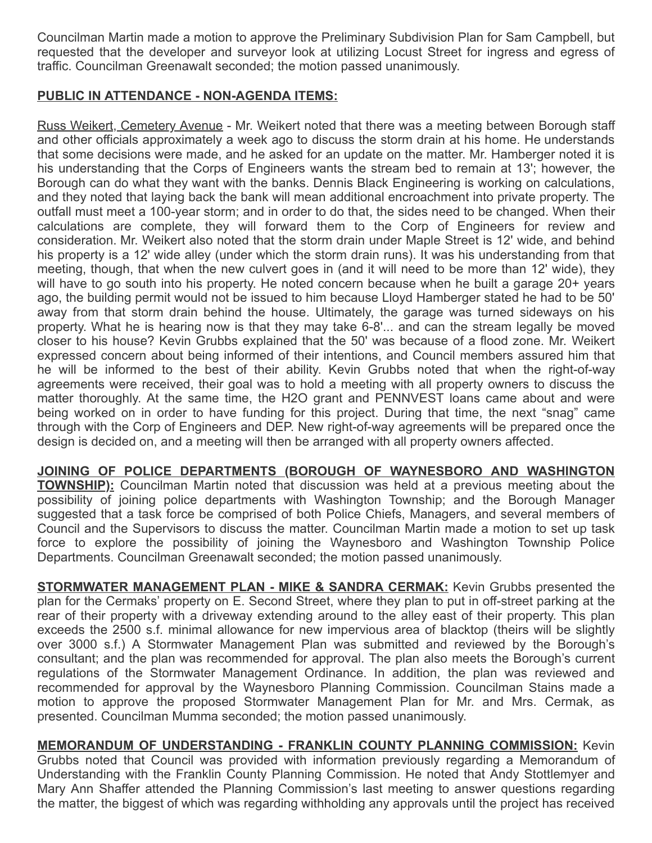Councilman Martin made a motion to approve the Preliminary Subdivision Plan for Sam Campbell, but requested that the developer and surveyor look at utilizing Locust Street for ingress and egress of traffic. Councilman Greenawalt seconded; the motion passed unanimously.

## PUBLIC IN ATTENDANCE - NON-AGENDA ITEMS:

Russ Weikert, Cemetery Avenue - Mr. Weikert noted that there was a meeting between Borough staff and other officials approximately a week ago to discuss the storm drain at his home. He understands that some decisions were made, and he asked for an update on the matter. Mr. Hamberger noted it is his understanding that the Corps of Engineers wants the stream bed to remain at 13'; however, the Borough can do what they want with the banks. Dennis Black Engineering is working on calculations, and they noted that laying back the bank will mean additional encroachment into private property. The outfall must meet a 100-year storm; and in order to do that, the sides need to be changed. When their calculations are complete, they will forward them to the Corp of Engineers for review and consideration. Mr. Weikert also noted that the storm drain under Maple Street is 12' wide, and behind his property is a 12' wide alley (under which the storm drain runs). It was his understanding from that meeting, though, that when the new culvert goes in (and it will need to be more than 12' wide), they will have to go south into his property. He noted concern because when he built a garage 20+ years ago, the building permit would not be issued to him because Lloyd Hamberger stated he had to be 50' away from that storm drain behind the house. Ultimately, the garage was turned sideways on his property. What he is hearing now is that they may take 6-8'... and can the stream legally be moved closer to his house? Kevin Grubbs explained that the 50' was because of a flood zone. Mr. Weikert expressed concern about being informed of their intentions, and Council members assured him that he will be informed to the best of their ability. Kevin Grubbs noted that when the right-of-way agreements were received, their goal was to hold a meeting with all property owners to discuss the matter thoroughly. At the same time, the H2O grant and PENNVEST loans came about and were being worked on in order to have funding for this project. During that time, the next "snag" came through with the Corp of Engineers and DEP. New right-of-way agreements will be prepared once the design is decided on, and a meeting will then be arranged with all property owners affected.

JOINING OF POLICE DEPARTMENTS (BOROUGH OF WAYNESBORO AND WASHINGTON **TOWNSHIP):** Councilman Martin noted that discussion was held at a previous meeting about the possibility of joining police departments with Washington Township; and the Borough Manager suggested that a task force be comprised of both Police Chiefs, Managers, and several members of Council and the Supervisors to discuss the matter. Councilman Martin made a motion to set up task force to explore the possibility of joining the Waynesboro and Washington Township Police Departments. Councilman Greenawalt seconded; the motion passed unanimously.

**STORMWATER MANAGEMENT PLAN - MIKE & SANDRA CERMAK:** Kevin Grubbs presented the plan for the Cermaks' property on E. Second Street, where they plan to put in off-street parking at the rear of their property with a driveway extending around to the alley east of their property. This plan exceeds the 2500 s.f. minimal allowance for new impervious area of blacktop (theirs will be slightly over 3000 s.f.) A Stormwater Management Plan was submitted and reviewed by the Borough's consultant; and the plan was recommended for approval. The plan also meets the Borough's current regulations of the Stormwater Management Ordinance. In addition, the plan was reviewed and recommended for approval by the Waynesboro Planning Commission. Councilman Stains made a motion to approve the proposed Stormwater Management Plan for Mr. and Mrs. Cermak, as presented. Councilman Mumma seconded; the motion passed unanimously.

MEMORANDUM OF UNDERSTANDING - FRANKLIN COUNTY PLANNING COMMISSION: Kevin Grubbs noted that Council was provided with information previously regarding a Memorandum of Understanding with the Franklin County Planning Commission. He noted that Andy Stottlemyer and Mary Ann Shaffer attended the Planning Commission's last meeting to answer questions regarding the matter, the biggest of which was regarding withholding any approvals until the project has received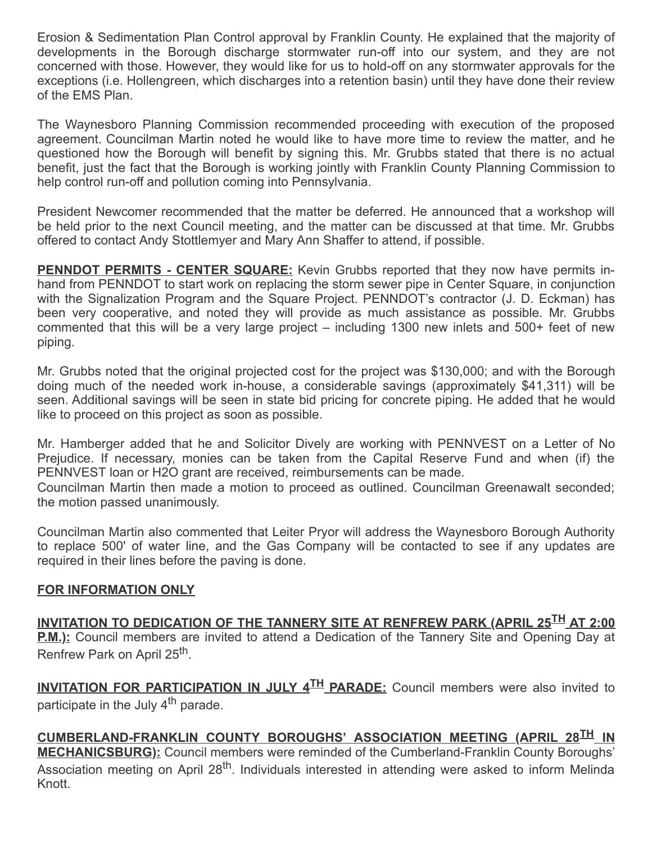Erosion & Sedimentation Plan Control approval by Franklin County. He explained that the majority of developments in the Borough discharge stormwater run-off into our system, and they are not concerned with those. However, they would like for us to hold-off on any stormwater approvals for the exceptions (i.e. Hollengreen, which discharges into a retention basin) until they have done their review of the EMS Plan.

The Waynesboro Planning Commission recommended proceeding with execution of the proposed agreement. Councilman Martin noted he would like to have more time to review the matter, and he questioned how the Borough will benefit by signing this. Mr. Grubbs stated that there is no actual benefit, just the fact that the Borough is working jointly with Franklin County Planning Commission to help control run-off and pollution coming into Pennsylvania.

President Newcomer recommended that the matter be deferred. He announced that a workshop will be held prior to the next Council meeting, and the matter can be discussed at that time. Mr. Grubbs offered to contact Andy Stottlemyer and Mary Ann Shaffer to attend, if possible.

**PENNDOT PERMITS - CENTER SQUARE:** Kevin Grubbs reported that they now have permits inhand from PENNDOT to start work on replacing the storm sewer pipe in Center Square, in conjunction with the Signalization Program and the Square Project. PENNDOT's contractor (J. D. Eckman) has been very cooperative, and noted they will provide as much assistance as possible. Mr. Grubbs commented that this will be a very large project – including 1300 new inlets and 500+ feet of new piping.

Mr. Grubbs noted that the original projected cost for the project was \$130,000; and with the Borough doing much of the needed work in-house, a considerable savings (approximately \$41,311) will be seen. Additional savings will be seen in state bid pricing for concrete piping. He added that he would like to proceed on this project as soon as possible.

Mr. Hamberger added that he and Solicitor Dively are working with PENNVEST on a Letter of No Prejudice. If necessary, monies can be taken from the Capital Reserve Fund and when (if) the PENNVEST loan or H2O grant are received, reimbursements can be made.

Councilman Martin then made a motion to proceed as outlined. Councilman Greenawalt seconded; the motion passed unanimously.

Councilman Martin also commented that Leiter Pryor will address the Waynesboro Borough Authority to replace 500' of water line, and the Gas Company will be contacted to see if any updates are required in their lines before the paving is done.

## FOR INFORMATION ONLY

INVITATION TO DEDICATION OF THE TANNERY SITE AT RENFREW PARK (APRIL 25TH AT 2:00 **P.M.):** Council members are invited to attend a Dedication of the Tannery Site and Opening Day at Renfrew Park on April 25<sup>th</sup>.

INVITATION FOR PARTICIPATION IN JULY 4<sup>TH</sup> PARADE: Council members were also invited to participate in the July 4<sup>th</sup> parade.

CUMBERLAND-FRANKLIN COUNTY BOROUGHS' ASSOCIATION MEETING (APRIL 28<sup>TH</sup> IN **MECHANICSBURG):** Council members were reminded of the Cumberland-Franklin County Boroughs' Association meeting on April 28<sup>th</sup>. Individuals interested in attending were asked to inform Melinda Knott.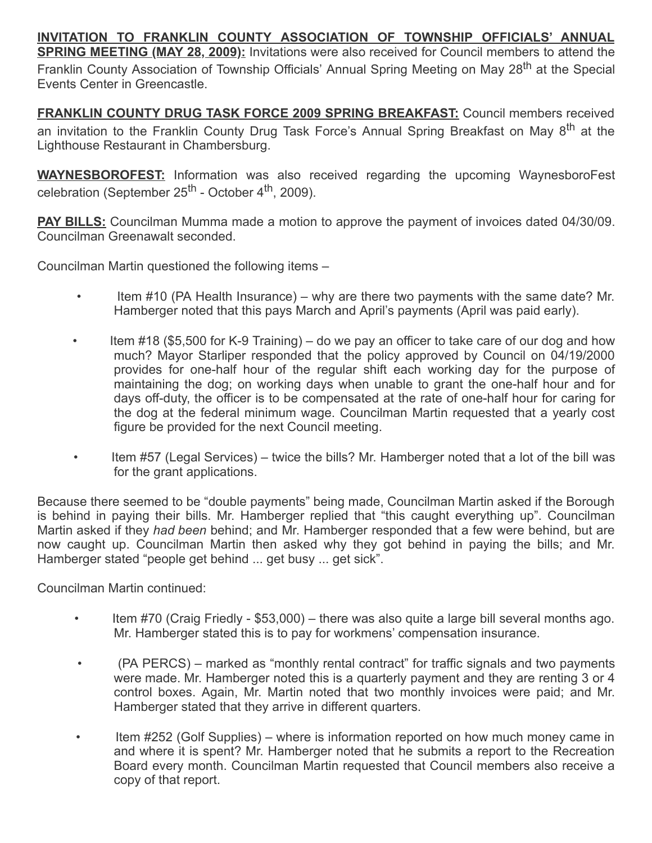INVITATION TO FRANKLIN COUNTY ASSOCIATION OF TOWNSHIP OFFICIALS' ANNUAL **SPRING MEETING (MAY 28, 2009):** Invitations were also received for Council members to attend the Franklin County Association of Township Officials' Annual Spring Meeting on May 28<sup>th</sup> at the Special Events Center in Greencastle.

FRANKLIN COUNTY DRUG TASK FORCE 2009 SPRING BREAKFAST: Council members received an invitation to the Franklin County Drug Task Force's Annual Spring Breakfast on May 8<sup>th</sup> at the Lighthouse Restaurant in Chambersburg.

**WAYNESBOROFEST:** Information was also received regarding the upcoming WaynesboroFest celebration (September 25<sup>th</sup> - October 4<sup>th</sup>, 2009).

**PAY BILLS:** Councilman Mumma made a motion to approve the payment of invoices dated 04/30/09. Councilman Greenawalt seconded.

Councilman Martin questioned the following items –

- Item #10 (PA Health Insurance) why are there two payments with the same date? Mr. Hamberger noted that this pays March and April's payments (April was paid early).
- Item #18 (\$5,500 for K-9 Training) do we pay an officer to take care of our dog and how much? Mayor Starliper responded that the policy approved by Council on 04/19/2000 provides for one-half hour of the regular shift each working day for the purpose of maintaining the dog; on working days when unable to grant the one-half hour and for days off-duty, the officer is to be compensated at the rate of one-half hour for caring for the dog at the federal minimum wage. Councilman Martin requested that a yearly cost figure be provided for the next Council meeting.
- Item #57 (Legal Services) twice the bills? Mr. Hamberger noted that a lot of the bill was for the grant applications.

Because there seemed to be "double payments" being made, Councilman Martin asked if the Borough is behind in paying their bills. Mr. Hamberger replied that "this caught everything up". Councilman Martin asked if they had been behind; and Mr. Hamberger responded that a few were behind, but are now caught up. Councilman Martin then asked why they got behind in paying the bills; and Mr. Hamberger stated "people get behind ... get busy ... get sick".

Councilman Martin continued:

- Item #70 (Craig Friedly \$53,000) there was also quite a large bill several months ago. Mr. Hamberger stated this is to pay for workmens' compensation insurance.
- (PA PERCS) marked as "monthly rental contract" for traffic signals and two payments were made. Mr. Hamberger noted this is a quarterly payment and they are renting 3 or 4 control boxes. Again, Mr. Martin noted that two monthly invoices were paid; and Mr. Hamberger stated that they arrive in different quarters.
- Item #252 (Golf Supplies) where is information reported on how much money came in and where it is spent? Mr. Hamberger noted that he submits a report to the Recreation Board every month. Councilman Martin requested that Council members also receive a copy of that report.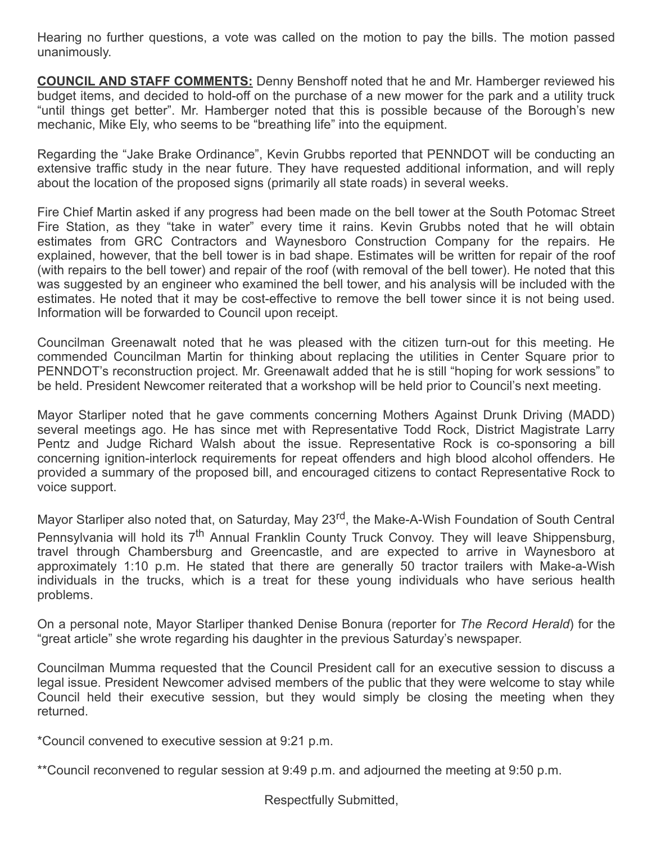Hearing no further questions, a vote was called on the motion to pay the bills. The motion passed unanimously.

**COUNCIL AND STAFF COMMENTS:** Denny Benshoff noted that he and Mr. Hamberger reviewed his budget items, and decided to hold-off on the purchase of a new mower for the park and a utility truck "until things get better". Mr. Hamberger noted that this is possible because of the Borough's new mechanic, Mike Ely, who seems to be "breathing life" into the equipment.

Regarding the "Jake Brake Ordinance", Kevin Grubbs reported that PENNDOT will be conducting an extensive traffic study in the near future. They have requested additional information, and will reply about the location of the proposed signs (primarily all state roads) in several weeks.

Fire Chief Martin asked if any progress had been made on the bell tower at the South Potomac Street Fire Station, as they "take in water" every time it rains. Kevin Grubbs noted that he will obtain estimates from GRC Contractors and Waynesboro Construction Company for the repairs. He explained, however, that the bell tower is in bad shape. Estimates will be written for repair of the roof (with repairs to the bell tower) and repair of the roof (with removal of the bell tower). He noted that this was suggested by an engineer who examined the bell tower, and his analysis will be included with the estimates. He noted that it may be cost-effective to remove the bell tower since it is not being used. Information will be forwarded to Council upon receipt.

Councilman Greenawalt noted that he was pleased with the citizen turn-out for this meeting. He commended Councilman Martin for thinking about replacing the utilities in Center Square prior to PENNDOT's reconstruction project. Mr. Greenawalt added that he is still "hoping for work sessions" to be held. President Newcomer reiterated that a workshop will be held prior to Council's next meeting.

Mayor Starliper noted that he gave comments concerning Mothers Against Drunk Driving (MADD) several meetings ago. He has since met with Representative Todd Rock, District Magistrate Larry Pentz and Judge Richard Walsh about the issue. Representative Rock is co-sponsoring a bill concerning ignition-interlock requirements for repeat offenders and high blood alcohol offenders. He provided a summary of the proposed bill, and encouraged citizens to contact Representative Rock to voice support.

Mayor Starliper also noted that, on Saturday, May 23<sup>rd</sup>, the Make-A-Wish Foundation of South Central Pennsylvania will hold its 7<sup>th</sup> Annual Franklin County Truck Convoy. They will leave Shippensburg, travel through Chambersburg and Greencastle, and are expected to arrive in Waynesboro at approximately 1:10 p.m. He stated that there are generally 50 tractor trailers with Make-a-Wish individuals in the trucks, which is a treat for these young individuals who have serious health problems.

On a personal note, Mayor Starliper thanked Denise Bonura (reporter for The Record Herald) for the "great article" she wrote regarding his daughter in the previous Saturday's newspaper.

Councilman Mumma requested that the Council President call for an executive session to discuss a legal issue. President Newcomer advised members of the public that they were welcome to stay while Council held their executive session, but they would simply be closing the meeting when they returned.

\*Council convened to executive session at 9:21 p.m.

\*\*Council reconvened to regular session at 9:49 p.m. and adjourned the meeting at 9:50 p.m.

Respectfully Submitted,